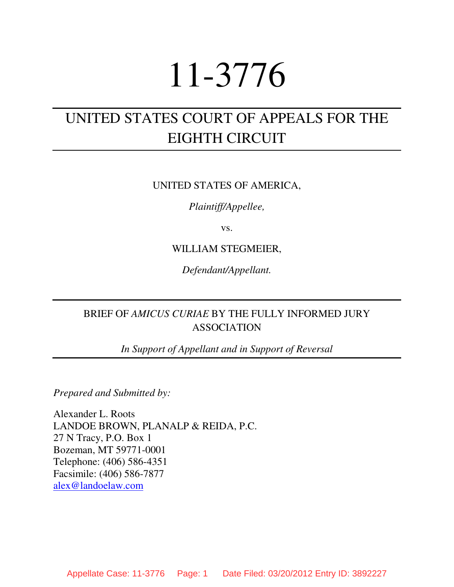# 11-3776

# UNITED STATES COURT OF APPEALS FOR THE EIGHTH CIRCUIT

# UNITED STATES OF AMERICA,

*Plaintiff/Appellee,* 

vs.

# WILLIAM STEGMEIER,

*Defendant/Appellant.* 

# BRIEF OF *AMICUS CURIAE* BY THE FULLY INFORMED JURY ASSOCIATION

*In Support of Appellant and in Support of Reversal* 

*Prepared and Submitted by:*

Alexander L. Roots LANDOE BROWN, PLANALP & REIDA, P.C. 27 N Tracy, P.O. Box 1 Bozeman, MT 59771-0001 Telephone: (406) 586-4351 Facsimile: (406) 586-7877 alex@landoelaw.com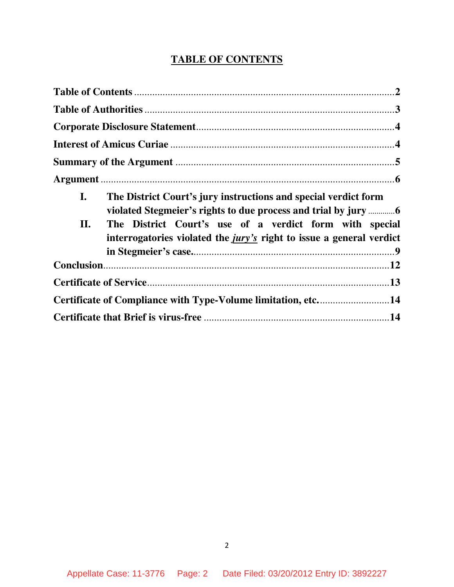# **TABLE OF CONTENTS**

| $\mathbf{I}$ .<br>II. | The District Court's jury instructions and special verdict form<br>The District Court's use of a verdict form with special<br>interrogatories violated the <i>jury's</i> right to issue a general verdict |
|-----------------------|-----------------------------------------------------------------------------------------------------------------------------------------------------------------------------------------------------------|
|                       |                                                                                                                                                                                                           |
|                       |                                                                                                                                                                                                           |
|                       | Certificate of Compliance with Type-Volume limitation, etc14                                                                                                                                              |
|                       |                                                                                                                                                                                                           |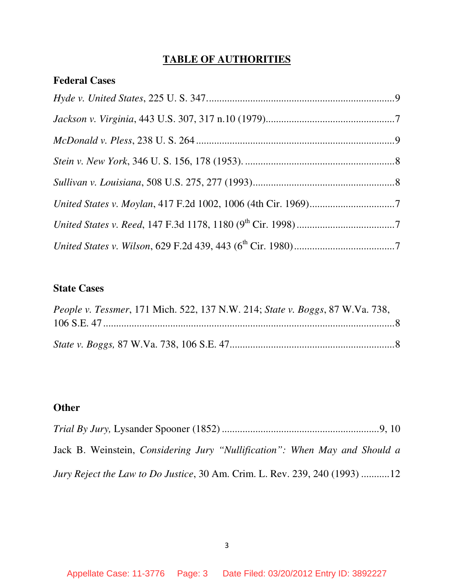# **TABLE OF AUTHORITIES**

| <b>Federal Cases</b> |  |
|----------------------|--|
|                      |  |
|                      |  |
|                      |  |
|                      |  |
|                      |  |
|                      |  |
|                      |  |
|                      |  |

# **State Cases**

| People v. Tessmer, 171 Mich. 522, 137 N.W. 214; State v. Boggs, 87 W.Va. 738, |  |
|-------------------------------------------------------------------------------|--|
|                                                                               |  |
|                                                                               |  |
|                                                                               |  |

# **Other**

| Jack B. Weinstein, <i>Considering Jury "Nullification"</i> : When May and Should a |  |
|------------------------------------------------------------------------------------|--|
| <i>Jury Reject the Law to Do Justice, 30 Am. Crim. L. Rev. 239, 240 (1993) 12</i>  |  |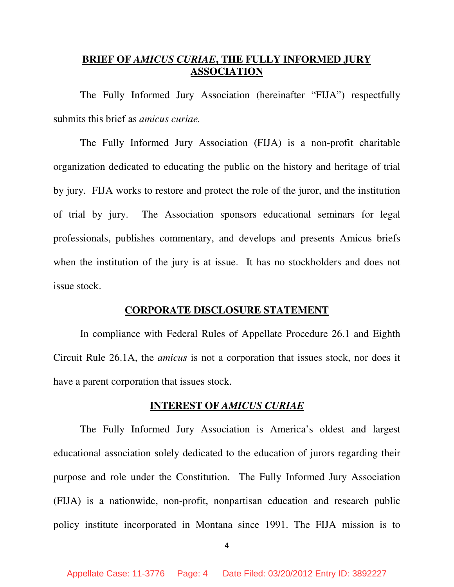# **BRIEF OF** *AMICUS CURIAE***, THE FULLY INFORMED JURY ASSOCIATION**

 The Fully Informed Jury Association (hereinafter "FIJA") respectfully submits this brief as *amicus curiae.*

 The Fully Informed Jury Association (FIJA) is a non-profit charitable organization dedicated to educating the public on the history and heritage of trial by jury. FIJA works to restore and protect the role of the juror, and the institution of trial by jury. The Association sponsors educational seminars for legal professionals, publishes commentary, and develops and presents Amicus briefs when the institution of the jury is at issue. It has no stockholders and does not issue stock.

#### **CORPORATE DISCLOSURE STATEMENT**

 In compliance with Federal Rules of Appellate Procedure 26.1 and Eighth Circuit Rule 26.1A, the *amicus* is not a corporation that issues stock, nor does it have a parent corporation that issues stock.

#### **INTEREST OF** *AMICUS CURIAE*

 The Fully Informed Jury Association is America's oldest and largest educational association solely dedicated to the education of jurors regarding their purpose and role under the Constitution. The Fully Informed Jury Association (FIJA) is a nationwide, non-profit, nonpartisan education and research public policy institute incorporated in Montana since 1991. The FIJA mission is to

4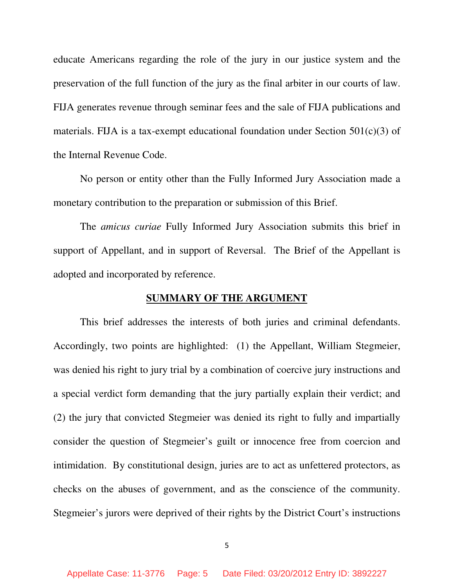educate Americans regarding the role of the jury in our justice system and the preservation of the full function of the jury as the final arbiter in our courts of law. FIJA generates revenue through seminar fees and the sale of FIJA publications and materials. FIJA is a tax-exempt educational foundation under Section 501(c)(3) of the Internal Revenue Code.

 No person or entity other than the Fully Informed Jury Association made a monetary contribution to the preparation or submission of this Brief.

 The *amicus curiae* Fully Informed Jury Association submits this brief in support of Appellant, and in support of Reversal. The Brief of the Appellant is adopted and incorporated by reference.

#### **SUMMARY OF THE ARGUMENT**

 This brief addresses the interests of both juries and criminal defendants. Accordingly, two points are highlighted: (1) the Appellant, William Stegmeier, was denied his right to jury trial by a combination of coercive jury instructions and a special verdict form demanding that the jury partially explain their verdict; and (2) the jury that convicted Stegmeier was denied its right to fully and impartially consider the question of Stegmeier's guilt or innocence free from coercion and intimidation. By constitutional design, juries are to act as unfettered protectors, as checks on the abuses of government, and as the conscience of the community. Stegmeier's jurors were deprived of their rights by the District Court's instructions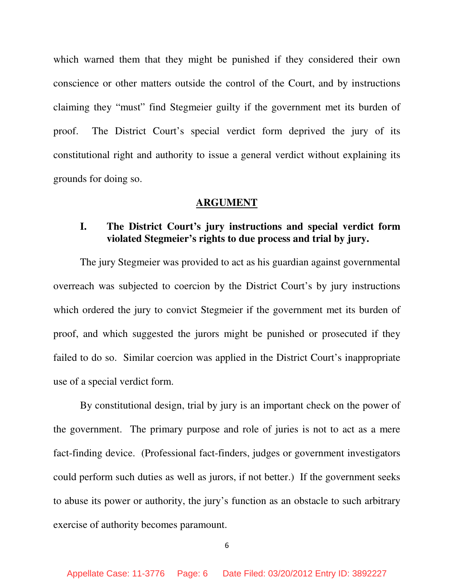which warned them that they might be punished if they considered their own conscience or other matters outside the control of the Court, and by instructions claiming they "must" find Stegmeier guilty if the government met its burden of proof. The District Court's special verdict form deprived the jury of its constitutional right and authority to issue a general verdict without explaining its grounds for doing so.

#### **ARGUMENT**

# **I. The District Court's jury instructions and special verdict form violated Stegmeier's rights to due process and trial by jury.**

 The jury Stegmeier was provided to act as his guardian against governmental overreach was subjected to coercion by the District Court's by jury instructions which ordered the jury to convict Stegmeier if the government met its burden of proof, and which suggested the jurors might be punished or prosecuted if they failed to do so. Similar coercion was applied in the District Court's inappropriate use of a special verdict form.

 By constitutional design, trial by jury is an important check on the power of the government. The primary purpose and role of juries is not to act as a mere fact-finding device. (Professional fact-finders, judges or government investigators could perform such duties as well as jurors, if not better.) If the government seeks to abuse its power or authority, the jury's function as an obstacle to such arbitrary exercise of authority becomes paramount.

6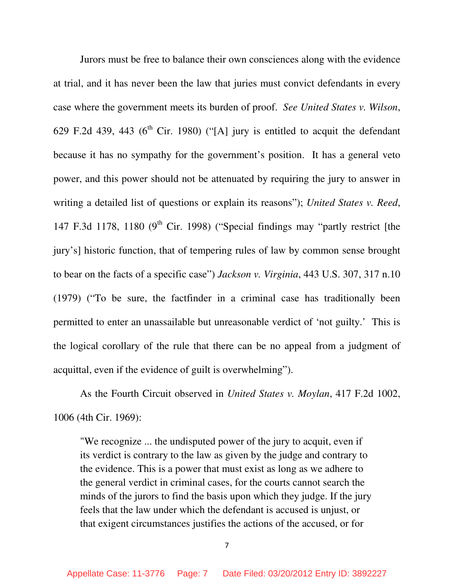Jurors must be free to balance their own consciences along with the evidence at trial, and it has never been the law that juries must convict defendants in every case where the government meets its burden of proof. *See United States v. Wilson*, 629 F.2d 439, 443 ( $6<sup>th</sup>$  Cir. 1980) ("[A] jury is entitled to acquit the defendant because it has no sympathy for the government's position. It has a general veto power, and this power should not be attenuated by requiring the jury to answer in writing a detailed list of questions or explain its reasons"); *United States v. Reed*, 147 F.3d 1178, 1180 ( $9<sup>th</sup>$  Cir. 1998) ("Special findings may "partly restrict [the jury's] historic function, that of tempering rules of law by common sense brought to bear on the facts of a specific case") *Jackson v. Virginia*, 443 U.S. 307, 317 n.10 (1979) ("To be sure, the factfinder in a criminal case has traditionally been permitted to enter an unassailable but unreasonable verdict of 'not guilty.' This is the logical corollary of the rule that there can be no appeal from a judgment of acquittal, even if the evidence of guilt is overwhelming").

 As the Fourth Circuit observed in *United States v. Moylan*, 417 F.2d 1002, 1006 (4th Cir. 1969):

"We recognize ... the undisputed power of the jury to acquit, even if its verdict is contrary to the law as given by the judge and contrary to the evidence. This is a power that must exist as long as we adhere to the general verdict in criminal cases, for the courts cannot search the minds of the jurors to find the basis upon which they judge. If the jury feels that the law under which the defendant is accused is unjust, or that exigent circumstances justifies the actions of the accused, or for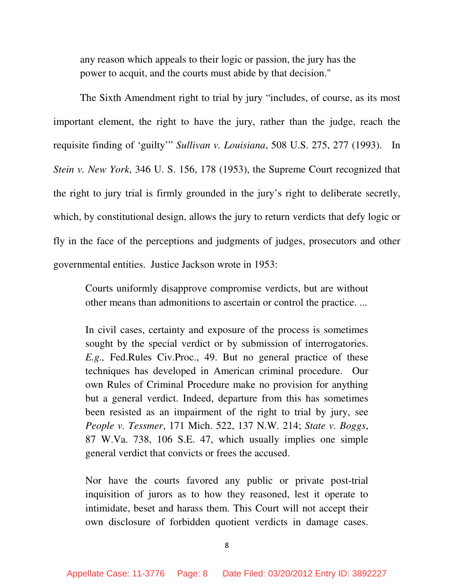any reason which appeals to their logic or passion, the jury has the power to acquit, and the courts must abide by that decision."

The Sixth Amendment right to trial by jury "includes, of course, as its most important element, the right to have the jury, rather than the judge, reach the requisite finding of 'guilty'" *Sullivan v. Louisiana*, 508 U.S. 275, 277 (1993). In *Stein v. New York*, 346 U. S. 156, 178 (1953), the Supreme Court recognized that the right to jury trial is firmly grounded in the jury's right to deliberate secretly, which, by constitutional design, allows the jury to return verdicts that defy logic or fly in the face of the perceptions and judgments of judges, prosecutors and other governmental entities. Justice Jackson wrote in 1953:

Courts uniformly disapprove compromise verdicts, but are without other means than admonitions to ascertain or control the practice. ...

In civil cases, certainty and exposure of the process is sometimes sought by the special verdict or by submission of interrogatories. *E.g.,* Fed.Rules Civ.Proc., 49. But no general practice of these techniques has developed in American criminal procedure. Our own Rules of Criminal Procedure make no provision for anything but a general verdict. Indeed, departure from this has sometimes been resisted as an impairment of the right to trial by jury, see *People v. Tessmer*, 171 Mich. 522, 137 N.W. 214; *State v. Boggs*, 87 W.Va. 738, 106 S.E. 47, which usually implies one simple general verdict that convicts or frees the accused.

Nor have the courts favored any public or private post-trial inquisition of jurors as to how they reasoned, lest it operate to intimidate, beset and harass them. This Court will not accept their own disclosure of forbidden quotient verdicts in damage cases.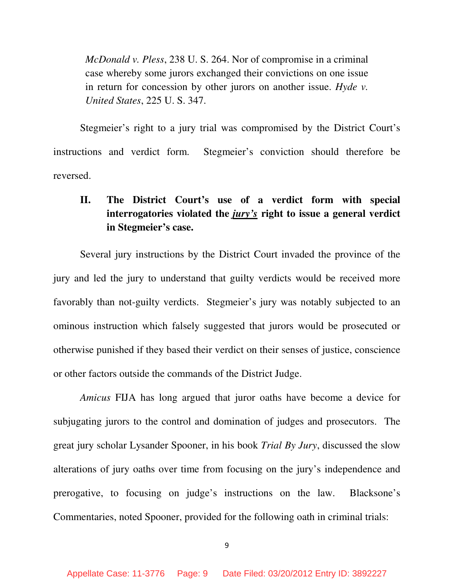*McDonald v. Pless*, 238 U. S. 264. Nor of compromise in a criminal case whereby some jurors exchanged their convictions on one issue in return for concession by other jurors on another issue. *Hyde v. United States*, 225 U. S. 347.

 Stegmeier's right to a jury trial was compromised by the District Court's instructions and verdict form. Stegmeier's conviction should therefore be reversed.

# **II. The District Court's use of a verdict form with special interrogatories violated the** *jury's* **right to issue a general verdict in Stegmeier's case.**

 Several jury instructions by the District Court invaded the province of the jury and led the jury to understand that guilty verdicts would be received more favorably than not-guilty verdicts. Stegmeier's jury was notably subjected to an ominous instruction which falsely suggested that jurors would be prosecuted or otherwise punished if they based their verdict on their senses of justice, conscience or other factors outside the commands of the District Judge.

*Amicus* FIJA has long argued that juror oaths have become a device for subjugating jurors to the control and domination of judges and prosecutors. The great jury scholar Lysander Spooner, in his book *Trial By Jury*, discussed the slow alterations of jury oaths over time from focusing on the jury's independence and prerogative, to focusing on judge's instructions on the law. Blacksone's Commentaries, noted Spooner, provided for the following oath in criminal trials: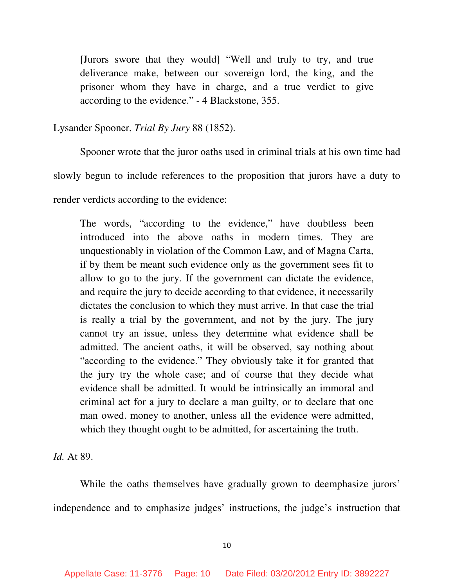[Jurors swore that they would] "Well and truly to try, and true deliverance make, between our sovereign lord, the king, and the prisoner whom they have in charge, and a true verdict to give according to the evidence." - 4 Blackstone, 355.

Lysander Spooner, *Trial By Jury* 88 (1852).

 Spooner wrote that the juror oaths used in criminal trials at his own time had slowly begun to include references to the proposition that jurors have a duty to render verdicts according to the evidence:

The words, "according to the evidence," have doubtless been introduced into the above oaths in modern times. They are unquestionably in violation of the Common Law, and of Magna Carta, if by them be meant such evidence only as the government sees fit to allow to go to the jury. If the government can dictate the evidence, and require the jury to decide according to that evidence, it necessarily dictates the conclusion to which they must arrive. In that case the trial is really a trial by the government, and not by the jury. The jury cannot try an issue, unless they determine what evidence shall be admitted. The ancient oaths, it will be observed, say nothing about "according to the evidence." They obviously take it for granted that the jury try the whole case; and of course that they decide what evidence shall be admitted. It would be intrinsically an immoral and criminal act for a jury to declare a man guilty, or to declare that one man owed. money to another, unless all the evidence were admitted, which they thought ought to be admitted, for ascertaining the truth.

*Id.* At 89.

 While the oaths themselves have gradually grown to deemphasize jurors' independence and to emphasize judges' instructions, the judge's instruction that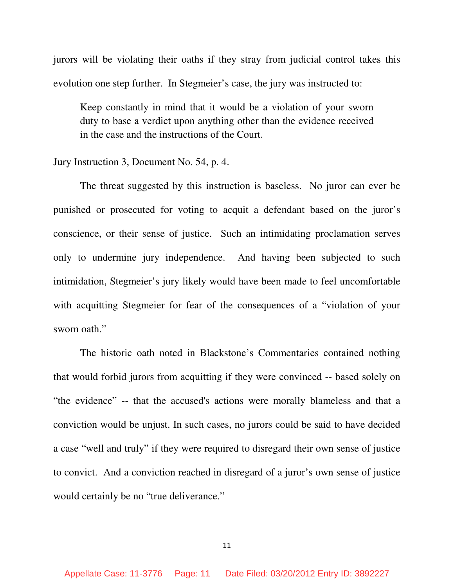jurors will be violating their oaths if they stray from judicial control takes this evolution one step further. In Stegmeier's case, the jury was instructed to:

Keep constantly in mind that it would be a violation of your sworn duty to base a verdict upon anything other than the evidence received in the case and the instructions of the Court.

#### Jury Instruction 3, Document No. 54, p. 4.

 The threat suggested by this instruction is baseless. No juror can ever be punished or prosecuted for voting to acquit a defendant based on the juror's conscience, or their sense of justice. Such an intimidating proclamation serves only to undermine jury independence. And having been subjected to such intimidation, Stegmeier's jury likely would have been made to feel uncomfortable with acquitting Stegmeier for fear of the consequences of a "violation of your sworn oath."

 The historic oath noted in Blackstone's Commentaries contained nothing that would forbid jurors from acquitting if they were convinced -- based solely on "the evidence" -- that the accused's actions were morally blameless and that a conviction would be unjust. In such cases, no jurors could be said to have decided a case "well and truly" if they were required to disregard their own sense of justice to convict. And a conviction reached in disregard of a juror's own sense of justice would certainly be no "true deliverance."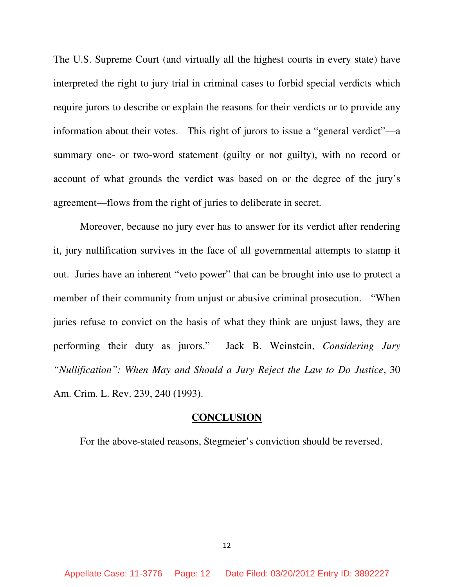The U.S. Supreme Court (and virtually all the highest courts in every state) have interpreted the right to jury trial in criminal cases to forbid special verdicts which require jurors to describe or explain the reasons for their verdicts or to provide any information about their votes. This right of jurors to issue a "general verdict"—a summary one- or two-word statement (guilty or not guilty), with no record or account of what grounds the verdict was based on or the degree of the jury's agreement—flows from the right of juries to deliberate in secret.

 Moreover, because no jury ever has to answer for its verdict after rendering it, jury nullification survives in the face of all governmental attempts to stamp it out. Juries have an inherent "veto power" that can be brought into use to protect a member of their community from unjust or abusive criminal prosecution. "When juries refuse to convict on the basis of what they think are unjust laws, they are performing their duty as jurors." Jack B. Weinstein, *Considering Jury "Nullification": When May and Should a Jury Reject the Law to Do Justice*, 30 Am. Crim. L. Rev. 239, 240 (1993).

#### **CONCLUSION**

For the above-stated reasons, Stegmeier's conviction should be reversed.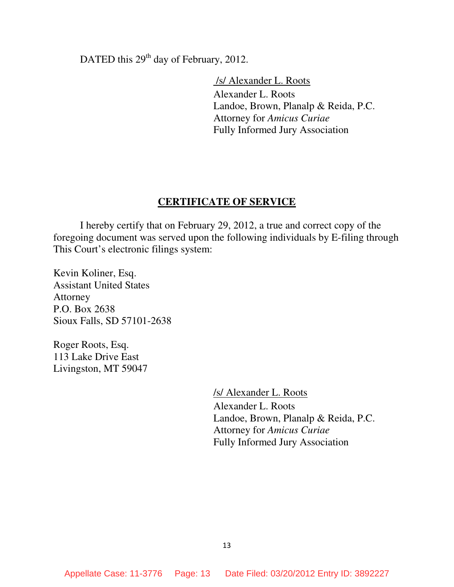DATED this 29<sup>th</sup> day of February, 2012.

 /s/ Alexander L. Roots Alexander L. Roots Landoe, Brown, Planalp & Reida, P.C. Attorney for *Amicus Curiae* Fully Informed Jury Association

#### **CERTIFICATE OF SERVICE**

 I hereby certify that on February 29, 2012, a true and correct copy of the foregoing document was served upon the following individuals by E-filing through This Court's electronic filings system:

Kevin Koliner, Esq. Assistant United States Attorney P.O. Box 2638 Sioux Falls, SD 57101-2638

Roger Roots, Esq. 113 Lake Drive East Livingston, MT 59047

> /s/ Alexander L. Roots Alexander L. Roots Landoe, Brown, Planalp & Reida, P.C. Attorney for *Amicus Curiae* Fully Informed Jury Association